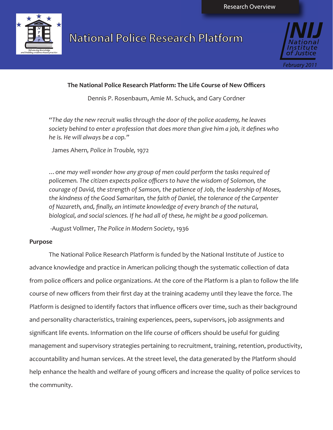

# **National Police Research Platform**



# **The National Police Research Platform: The Life Course of New Officers**

Dennis P. Rosenbaum, Amie M. Schuck, and Gary Cordner

*"The day the new recruit walks through the door of the police academy, he leaves society behind to enter a profession that does more than give him a job, it defines who he is. He will always be a cop."* 

James Ahern*, Police in Trouble,* 1972

*…one may well wonder how any group of men could perform the tasks required of policemen. The citizen expects police officers to have the wisdom of Solomon, the courage of David, the strength of Samson, the patience of Job, the leadership of Moses, the kindness of the Good Samaritan, the faith of Daniel, the tolerance of the Carpenter of Nazareth, and, finally, an intimate knowledge of every branch of the natural, biological, and social sciences. If he had all of these, he might be a good policeman.*

-August Vollmer, *The Police in Modern Society*, 1936

# **Purpose**

The National Police Research Platform is funded by the National Institute of Justice to advance knowledge and practice in American policing though the systematic collection of data from police officers and police organizations. At the core of the Platform is a plan to follow the life course of new officers from their first day at the training academy until they leave the force. The Platform is designed to identify factors that influence officers over time, such as their background and personality characteristics, training experiences, peers, supervisors, job assignments and significant life events. Information on the life course of officers should be useful for guiding management and supervisory strategies pertaining to recruitment, training, retention, productivity, accountability and human services. At the street level, the data generated by the Platform should help enhance the health and welfare of young officers and increase the quality of police services to the community.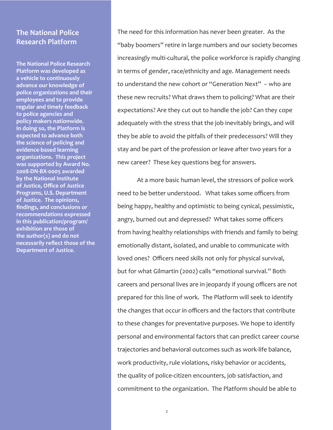# **The National Police Research Platform**

**The National Police Research Platform was developed as a vehicle to continuously advance our knowledge of police organizations and their employees and to provide regular and timely feedback to police agencies and policy makers nationwide. In doing so, the Platform is expected to advance both the science of policing and evidence-based learning organizations. This project was supported by Award No. 2008-DN-BX-0005 awarded by the National Institute of Justice, Office of Justice Programs, U.S. Department of Justice. The opinions, findings, and conclusions or recommendations expressed in this publication/program/ exhibition are those of the author(s) and do not necessarily reflect those of the Department of Justice.** 

The need for this information has never been greater. As the "baby boomers" retire in large numbers and our society becomes increasingly multi-cultural, the police workforce is rapidly changing in terms of gender, race/ethnicity and age. Management needs to understand the new cohort or "Generation Next" – who are these new recruits? What draws them to policing? What are their expectations? Are they cut out to handle the job? Can they cope adequately with the stress that the job inevitably brings, and will they be able to avoid the pitfalls of their predecessors? Will they stay and be part of the profession or leave after two years for a new career? These key questions beg for answers.

At a more basic human level, the stressors of police work need to be better understood. What takes some officers from being happy, healthy and optimistic to being cynical, pessimistic, angry, burned out and depressed? What takes some officers from having healthy relationships with friends and family to being emotionally distant, isolated, and unable to communicate with loved ones? Officers need skills not only for physical survival, but for what Gilmartin (2002) calls "emotional survival." Both careers and personal lives are in jeopardy if young officers are not prepared for this line of work. The Platform will seek to identify the changes that occur in officers and the factors that contribute to these changes for preventative purposes. We hope to identify personal and environmental factors that can predict career course trajectories and behavioral outcomes such as work-life balance, work productivity, rule violations, risky behavior or accidents, the quality of police-citizen encounters, job satisfaction, and commitment to the organization. The Platform should be able to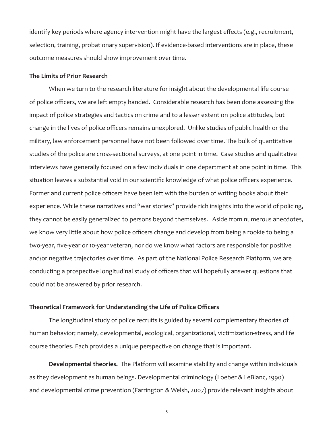identify key periods where agency intervention might have the largest effects (e.g., recruitment, selection, training, probationary supervision). If evidence-based interventions are in place, these outcome measures should show improvement over time.

#### **The Limits of Prior Research**

When we turn to the research literature for insight about the developmental life course of police officers, we are left empty handed. Considerable research has been done assessing the impact of police strategies and tactics on crime and to a lesser extent on police attitudes, but change in the lives of police officers remains unexplored. Unlike studies of public health or the military, law enforcement personnel have not been followed over time. The bulk of quantitative studies of the police are cross-sectional surveys, at one point in time. Case studies and qualitative interviews have generally focused on a few individuals in one department at one point in time. This situation leaves a substantial void in our scientific knowledge of what police officers experience. Former and current police officers have been left with the burden of writing books about their experience. While these narratives and "war stories" provide rich insights into the world of policing, they cannot be easily generalized to persons beyond themselves. Aside from numerous anecdotes, we know very little about how police officers change and develop from being a rookie to being a two-year, five-year or 10-year veteran, nor do we know what factors are responsible for positive and/or negative trajectories over time. As part of the National Police Research Platform, we are conducting a prospective longitudinal study of officers that will hopefully answer questions that could not be answered by prior research.

#### **Theoretical Framework for Understanding the Life of Police Officers**

The longitudinal study of police recruits is guided by several complementary theories of human behavior; namely, developmental, ecological, organizational, victimization-stress, and life course theories. Each provides a unique perspective on change that is important.

**Developmental theories.** The Platform will examine stability and change within individuals as they development as human beings. Developmental criminology (Loeber & LeBlanc, 1990) and developmental crime prevention (Farrington & Welsh, 2007) provide relevant insights about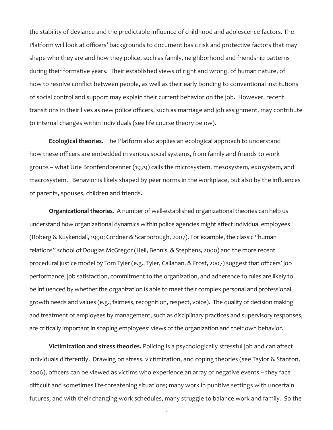the stability of deviance and the predictable influence of childhood and adolescence factors. The Platform will look at officers' backgrounds to document basic risk and protective factors that may shape who they are and how they police, such as family, neighborhood and friendship patterns during their formative years. Their established views of right and wrong, of human nature, of how to resolve conflict between people, as well as their early bonding to conventional institutions of social control and support may explain their current behavior on the job. However, recent transitions in their lives as new police officers, such as marriage and job assignment, may contribute to internal changes within individuals (see life course theory below).

**Ecological theories.** The Platform also applies an ecological approach to understand how these officers are embedded in various social systems, from family and friends to work groups – what Urie Bronfendbrenner (1979) calls the microsystem, mesosystem, exosystem, and macrosystem. Behavior is likely shaped by peer norms in the workplace, but also by the influences of parents, spouses, children and friends.

**Organizational theories.** A number of well-established organizational theories can help us understand how organizational dynamics within police agencies might affect individual employees (Roberg & Kuykendall, 1990; Cordner & Scarborough, 2007). For example, the classic "human relations" school of Douglas McGregor (Heil, Bennis, & Stephens, 2000) and the more recent procedural justice model by Tom Tyler (e.g., Tyler, Callahan, & Frost, 2007) suggest that officers' job performance, job satisfaction, commitment to the organization, and adherence to rules are likely to be influenced by whether the organization is able to meet their complex personal and professional growth needs and values (e.g., fairness, recognition, respect, voice). The quality of decision making and treatment of employees by management, such as disciplinary practices and supervisory responses, are critically important in shaping employees' views of the organization and their own behavior.

**Victimization and stress theories.** Policing is a psychologically stressful job and can affect individuals differently. Drawing on stress, victimization, and coping theories (see Taylor & Stanton, 2006), officers can be viewed as victims who experience an array of negative events – they face difficult and sometimes life-threatening situations; many work in punitive settings with uncertain futures; and with their changing work schedules, many struggle to balance work and family. So the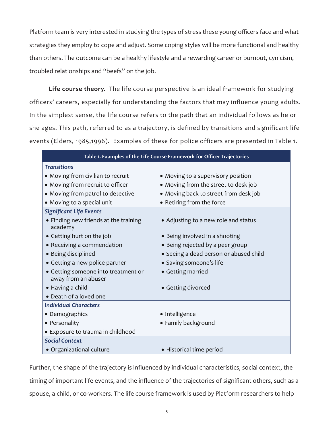Platform team is very interested in studying the types of stress these young officers face and what strategies they employ to cope and adjust. Some coping styles will be more functional and healthy than others. The outcome can be a healthy lifestyle and a rewarding career or burnout, cynicism, troubled relationships and "beefs" on the job.

**Life course theory.** The life course perspective is an ideal framework for studying officers' careers, especially for understanding the factors that may influence young adults. In the simplest sense, the life course refers to the path that an individual follows as he or she ages. This path, referred to as a trajectory, is defined by transitions and significant life events (Elders, 1985,1996). Examples of these for police officers are presented in Table 1.

| Table 1. Examples of the Life Course Framework for Officer Trajectories |                                        |  |  |
|-------------------------------------------------------------------------|----------------------------------------|--|--|
| <b>Transitions</b>                                                      |                                        |  |  |
| • Moving from civilian to recruit                                       | • Moving to a supervisory position     |  |  |
| • Moving from recruit to officer                                        | • Moving from the street to desk job   |  |  |
| • Moving from patrol to detective                                       | • Moving back to street from desk job  |  |  |
| • Moving to a special unit                                              | • Retiring from the force              |  |  |
| <b>Significant Life Events</b>                                          |                                        |  |  |
| • Finding new friends at the training<br>academy                        | • Adjusting to a new role and status   |  |  |
| • Getting hurt on the job                                               | • Being involved in a shooting         |  |  |
| • Receiving a commendation                                              | • Being rejected by a peer group       |  |  |
| · Being disciplined                                                     | • Seeing a dead person or abused child |  |  |
| • Getting a new police partner                                          | • Saving someone's life                |  |  |
| • Getting someone into treatment or<br>away from an abuser              | • Getting married                      |  |  |
| • Having a child                                                        | • Getting divorced                     |  |  |
| • Death of a loved one                                                  |                                        |  |  |
| <b>Individual Characters</b>                                            |                                        |  |  |
| • Demographics                                                          | · Intelligence                         |  |  |
| • Personality                                                           | • Family background                    |  |  |
| • Exposure to trauma in childhood                                       |                                        |  |  |
| <b>Social Context</b>                                                   |                                        |  |  |
| • Organizational culture                                                | • Historical time period               |  |  |

Further, the shape of the trajectory is influenced by individual characteristics, social context, the timing of important life events, and the influence of the trajectories of significant others, such as a spouse, a child, or co-workers. The life course framework is used by Platform researchers to help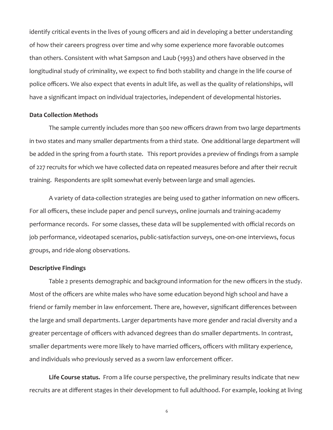identify critical events in the lives of young officers and aid in developing a better understanding of how their careers progress over time and why some experience more favorable outcomes than others. Consistent with what Sampson and Laub (1993) and others have observed in the longitudinal study of criminality, we expect to find both stability and change in the life course of police officers. We also expect that events in adult life, as well as the quality of relationships, will have a significant impact on individual trajectories, independent of developmental histories.

#### **Data Collection Methods**

The sample currently includes more than 500 new officers drawn from two large departments in two states and many smaller departments from a third state. One additional large department will be added in the spring from a fourth state. This report provides a preview of findings from a sample of 227 recruits for which we have collected data on repeated measures before and after their recruit training. Respondents are split somewhat evenly between large and small agencies.

A variety of data-collection strategies are being used to gather information on new officers. For all officers, these include paper and pencil surveys, online journals and training-academy performance records. For some classes, these data will be supplemented with official records on job performance, videotaped scenarios, public-satisfaction surveys, one-on-one interviews, focus groups, and ride-along observations.

#### **Descriptive Findings**

Table 2 presents demographic and background information for the new officers in the study. Most of the officers are white males who have some education beyond high school and have a friend or family member in law enforcement. There are, however, significant differences between the large and small departments. Larger departments have more gender and racial diversity and a greater percentage of officers with advanced degrees than do smaller departments. In contrast, smaller departments were more likely to have married officers, officers with military experience, and individuals who previously served as a sworn law enforcement officer.

**Life Course status.** From a life course perspective, the preliminary results indicate that new recruits are at different stages in their development to full adulthood. For example, looking at living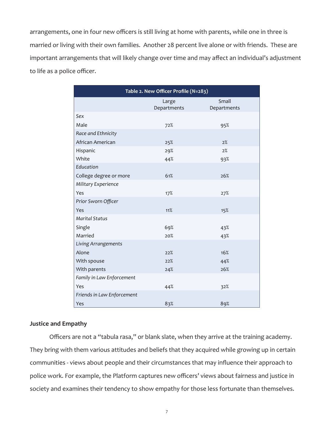arrangements, one in four new officers is still living at home with parents, while one in three is married or living with their own families. Another 28 percent live alone or with friends. These are important arrangements that will likely change over time and may affect an individual's adjustment to life as a police officer.

| Table 2. New Officer Profile (N=283) |                      |                      |  |
|--------------------------------------|----------------------|----------------------|--|
|                                      | Large<br>Departments | Small<br>Departments |  |
| Sex                                  |                      |                      |  |
| Male                                 | 72%                  | 95%                  |  |
| Race and Ethnicity                   |                      |                      |  |
| African American                     | 25%                  | 2%                   |  |
| Hispanic                             | 29%                  | 2%                   |  |
| White                                | 44%                  | 93%                  |  |
| Education                            |                      |                      |  |
| College degree or more               | 61%                  | 26%                  |  |
| Military Experience                  |                      |                      |  |
| Yes                                  | 17%                  | 27%                  |  |
| Prior Sworn Officer                  |                      |                      |  |
| Yes                                  | 11%                  | 15%                  |  |
| <b>Marital Status</b>                |                      |                      |  |
| Single                               | 69%                  | 43%                  |  |
| Married                              | 20%                  | 43%                  |  |
| Living Arrangements                  |                      |                      |  |
| Alone                                | 22%                  | 16%                  |  |
| With spouse                          | 22%                  | 44%                  |  |
| With parents                         | 24%                  | 26%                  |  |
| Family in Law Enforcement            |                      |                      |  |
| Yes                                  | 44%                  | 32%                  |  |
| Friends in Law Enforcement           |                      |                      |  |
| Yes                                  | 83%                  | 89%                  |  |

#### **Justice and Empathy**

Officers are not a "tabula rasa," or blank slate, when they arrive at the training academy. They bring with them various attitudes and beliefs that they acquired while growing up in certain communities - views about people and their circumstances that may influence their approach to police work. For example, the Platform captures new officers' views about fairness and justice in society and examines their tendency to show empathy for those less fortunate than themselves.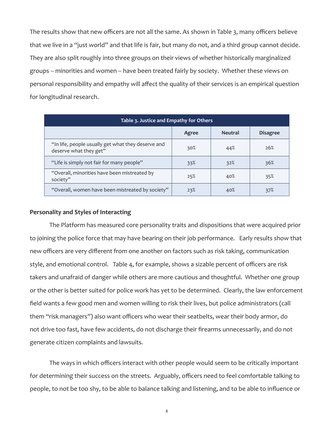The results show that new officers are not all the same. As shown in Table 3, many officers believe that we live in a "just world" and that life is fair, but many do not, and a third group cannot decide. They are also split roughly into three groups on their views of whether historically marginalized groups -- minorities and women -- have been treated fairly by society. Whether these views on personal responsibility and empathy will affect the quality of their services is an empirical question for longitudinal research.

| Table 3. Justice and Empathy for Others                                      |       |                |                 |
|------------------------------------------------------------------------------|-------|----------------|-----------------|
|                                                                              | Agree | <b>Neutral</b> | <b>Disagree</b> |
| "In life, people usually get what they deserve and<br>deserve what they get" | 30%   | 44%            | 26%             |
| "Life is simply not fair for many people"                                    | 33%   | 32%            | 36%             |
| "Overall, minorities have been mistreated by<br>society"                     | 25%   | 40%            | 35%             |
| "Overall, women have been mistreated by society"                             | 23%   | 40%            | 37%             |

# **Personality and Styles of Interacting**

The Platform has measured core personality traits and dispositions that were acquired prior to joining the police force that may have bearing on their job performance. Early results show that new officers are very different from one another on factors such as risk taking, communication style, and emotional control. Table 4, for example, shows a sizable percent of officers are risk takers and unafraid of danger while others are more cautious and thoughtful. Whether one group or the other is better suited for police work has yet to be determined. Clearly, the law enforcement field wants a few good men and women willing to risk their lives, but police administrators (call them "risk managers") also want officers who wear their seatbelts, wear their body armor, do not drive too fast, have few accidents, do not discharge their firearms unnecessarily, and do not generate citizen complaints and lawsuits.

The ways in which officers interact with other people would seem to be critically important for determining their success on the streets. Arguably, officers need to feel comfortable talking to people, to not be too shy, to be able to balance talking and listening, and to be able to influence or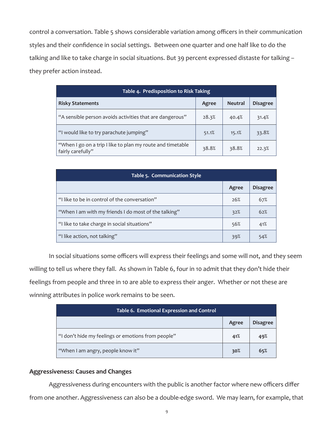control a conversation. Table 5 shows considerable variation among officers in their communication styles and their confidence in social settings. Between one quarter and one half like to do the talking and like to take charge in social situations. But 39 percent expressed distaste for talking – they prefer action instead.

| Table 4. Predisposition to Risk Taking                                          |       |                |                 |
|---------------------------------------------------------------------------------|-------|----------------|-----------------|
| <b>Risky Statements</b>                                                         | Agree | <b>Neutral</b> | <b>Disagree</b> |
| "A sensible person avoids activities that are dangerous"                        | 28.3% | 40.4%          | 31.4%           |
| "I would like to try parachute jumping"                                         | 51.1% | 15.1%          | 33.8%           |
| "When I go on a trip I like to plan my route and timetable<br>fairly carefully" | 38.8% | 38.8%          | 22.3%           |

| Table 5. Communication Style                         |       |                 |  |
|------------------------------------------------------|-------|-----------------|--|
|                                                      | Agree | <b>Disagree</b> |  |
| "I like to be in control of the conversation"        | 26%   | 67%             |  |
| "When I am with my friends I do most of the talking" | 32%   | 62%             |  |
| "I like to take charge in social situations"         | 56%   | 41%             |  |
| "I like action, not talking"                         | 39%   | 54%             |  |

In social situations some officers will express their feelings and some will not, and they seem willing to tell us where they fall. As shown in Table 6, four in 10 admit that they don't hide their feelings from people and three in 10 are able to express their anger. Whether or not these are winning attributes in police work remains to be seen.

| Table 6. Emotional Expression and Control          |       |                 |  |
|----------------------------------------------------|-------|-----------------|--|
|                                                    | Agree | <b>Disagree</b> |  |
| "I don't hide my feelings or emotions from people" | 41%   | 49%             |  |
| "When I am angry, people know it"                  | 30%   | 65%             |  |

# **Aggressiveness: Causes and Changes**

Aggressiveness during encounters with the public is another factor where new officers differ from one another. Aggressiveness can also be a double-edge sword. We may learn, for example, that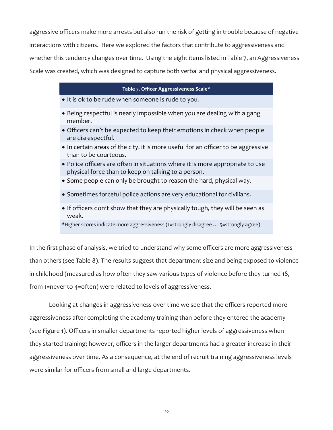aggressive officers make more arrests but also run the risk of getting in trouble because of negative interactions with citizens. Here we explored the factors that contribute to aggressiveness and whether this tendency changes over time. Using the eight items listed in Table 7, an Aggressiveness Scale was created, which was designed to capture both verbal and physical aggressiveness.

| Table 7. Officer Aggressiveness Scale*                                                                                               |
|--------------------------------------------------------------------------------------------------------------------------------------|
| • It is ok to be rude when someone is rude to you.                                                                                   |
| • Being respectful is nearly impossible when you are dealing with a gang<br>member.                                                  |
| • Officers can't be expected to keep their emotions in check when people<br>are disrespectful.                                       |
| • In certain areas of the city, it is more useful for an officer to be aggressive<br>than to be courteous.                           |
| • Police officers are often in situations where it is more appropriate to use<br>physical force than to keep on talking to a person. |
| • Some people can only be brought to reason the hard, physical way.                                                                  |
| • Sometimes forceful police actions are very educational for civilians.                                                              |
| • If officers don't show that they are physically tough, they will be seen as<br>weak.                                               |
| *Higher scores indicate more aggressiveness (1=strongly disagree  5=strongly agree)                                                  |

In the first phase of analysis, we tried to understand why some officers are more aggressiveness than others (see Table 8). The results suggest that department size and being exposed to violence in childhood (measured as how often they saw various types of violence before they turned 18, from 1=never to 4=often) were related to levels of aggressiveness.

Looking at changes in aggressiveness over time we see that the officers reported more aggressiveness after completing the academy training than before they entered the academy (see Figure 1). Officers in smaller departments reported higher levels of aggressiveness when they started training; however, officers in the larger departments had a greater increase in their aggressiveness over time. As a consequence, at the end of recruit training aggressiveness levels were similar for officers from small and large departments.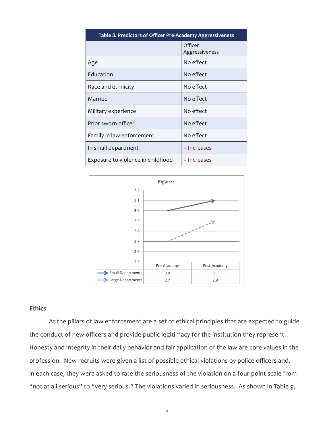| Table 8. Predictors of Officer Pre-Academy Aggressiveness |                           |  |
|-----------------------------------------------------------|---------------------------|--|
|                                                           | Officer<br>Aggressiveness |  |
| Age                                                       | No effect                 |  |
| Education                                                 | No effect                 |  |
| Race and ethnicity                                        | No effect                 |  |
| Married                                                   | No effect                 |  |
| Military experience                                       | No effect                 |  |
| Prior sworn officer                                       | No effect                 |  |
| Family in law enforcement                                 | No effect                 |  |
| In small department                                       | + Increases               |  |
| Exposure to violence in childhood                         | + Increases               |  |



#### **Ethics**

At the pillars of law enforcement are a set of ethical principles that are expected to guide the conduct of new officers and provide public legitimacy for the institution they represent. Honesty and integrity in their daily behavior and fair application of the law are core values in the profession. New recruits were given a list of possible ethical violations by police officers and, in each case, they were asked to rate the seriousness of the violation on a four-point scale from "not at all serious" to "very serious." The violations varied in seriousness. As shown in Table 9,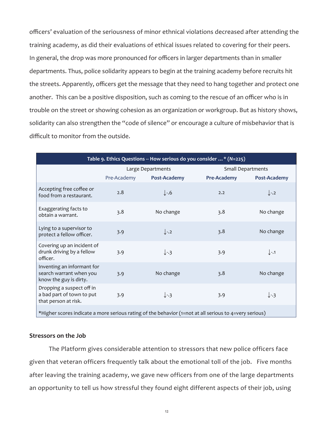officers' evaluation of the seriousness of minor ethnical violations decreased after attending the training academy, as did their evaluations of ethical issues related to covering for their peers. In general, the drop was more pronounced for officers in larger departments than in smaller departments. Thus, police solidarity appears to begin at the training academy before recruits hit the streets. Apparently, officers get the message that they need to hang together and protect one another. This can be a positive disposition, such as coming to the rescue of an officer who is in trouble on the street or showing cohesion as an organization or workgroup. But as history shows, solidarity can also strengthen the "code of silence" or encourage a culture of misbehavior that is difficult to monitor from the outside.

| Table 9. Ethics Questions -- How serious do you consider * (N=225)                                     |                   |                  |                          |                  |
|--------------------------------------------------------------------------------------------------------|-------------------|------------------|--------------------------|------------------|
|                                                                                                        | Large Departments |                  | <b>Small Departments</b> |                  |
|                                                                                                        | Pre-Academy       | Post-Academy     | <b>Pre-Academy</b>       | Post-Academy     |
| Accepting free coffee or<br>food from a restaurant.                                                    | 2.8               | $\downarrow$ -.6 | 2.2                      | $\downarrow$ -.2 |
| Exaggerating facts to<br>obtain a warrant.                                                             | 3.8               | No change        | 3.8                      | No change        |
| Lying to a supervisor to<br>protect a fellow officer.                                                  | 3.9               | $\downarrow$ -.2 | 3.8                      | No change        |
| Covering up an incident of<br>drunk driving by a fellow<br>officer.                                    | 3.9               | $\downarrow$ -.3 | 3.9                      | $\downarrow$ -.1 |
| Inventing an informant for<br>search warrant when you<br>know the guy is dirty.                        | 3.9               | No change        | 3.8                      | No change        |
| Dropping a suspect off in<br>a bad part of town to put<br>that person at risk.                         | 3.9               | $\downarrow$ -3  | 3.9                      | $\downarrow$ -3  |
| *Higher scores indicate a more serious rating of the behavior (1=not at all serious to 4=very serious) |                   |                  |                          |                  |

#### **Stressors on the Job**

The Platform gives considerable attention to stressors that new police officers face given that veteran officers frequently talk about the emotional toll of the job. Five months after leaving the training academy, we gave new officers from one of the large departments an opportunity to tell us how stressful they found eight different aspects of their job, using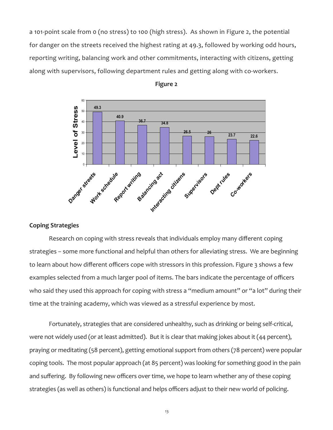a 101-point scale from 0 (no stress) to 100 (high stress). As shown in Figure 2, the potential for danger on the streets received the highest rating at 49.3, followed by working odd hours, reporting writing, balancing work and other commitments, interacting with citizens, getting along with supervisors, following department rules and getting along with co-workers.





# **Coping Strategies**

Research on coping with stress reveals that individuals employ many different coping strategies – some more functional and helpful than others for alleviating stress. We are beginning to learn about how different officers cope with stressors in this profession. Figure 3 shows a few examples selected from a much larger pool of items. The bars indicate the percentage of officers who said they used this approach for coping with stress a "medium amount" or "a lot" during their time at the training academy, which was viewed as a stressful experience by most.

Fortunately, strategies that are considered unhealthy, such as drinking or being self-critical, were not widely used (or at least admitted). But it is clear that making jokes about it (44 percent), praying or meditating (58 percent), getting emotional support from others (78 percent) were popular coping tools. The most popular approach (at 85 percent) was looking for something good in the pain and suffering. By following new officers over time, we hope to learn whether any of these coping strategies (as well as others) is functional and helps officers adjust to their new world of policing.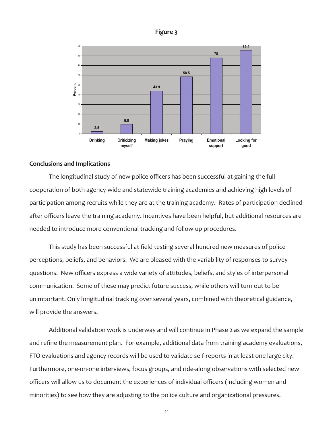



#### **Conclusions and Implications**

The longitudinal study of new police officers has been successful at gaining the full cooperation of both agency-wide and statewide training academies and achieving high levels of participation among recruits while they are at the training academy. Rates of participation declined after officers leave the training academy. Incentives have been helpful, but additional resources are needed to introduce more conventional tracking and follow-up procedures.

This study has been successful at field testing several hundred new measures of police perceptions, beliefs, and behaviors. We are pleased with the variability of responses to survey questions. New officers express a wide variety of attitudes, beliefs, and styles of interpersonal communication. Some of these may predict future success, while others will turn out to be unimportant. Only longitudinal tracking over several years, combined with theoretical guidance, will provide the answers.

Additional validation work is underway and will continue in Phase 2 as we expand the sample and refine the measurement plan. For example, additional data from training academy evaluations, FTO evaluations and agency records will be used to validate self-reports in at least one large city. Furthermore, one-on-one interviews, focus groups, and ride-along observations with selected new officers will allow us to document the experiences of individual officers (including women and minorities) to see how they are adjusting to the police culture and organizational pressures.